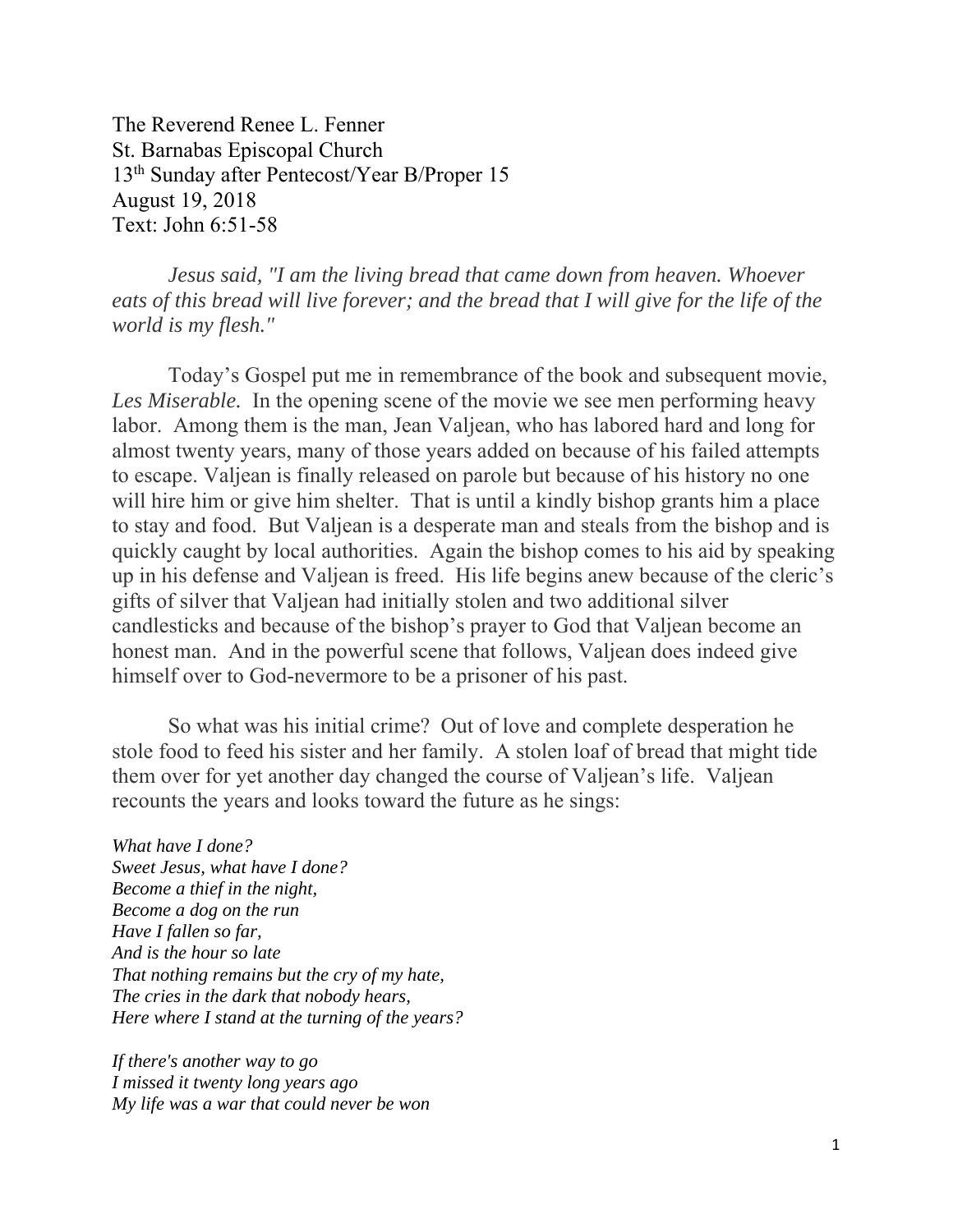The Reverend Renee L. Fenner St. Barnabas Episcopal Church 13th Sunday after Pentecost/Year B/Proper 15 August 19, 2018 Text: John 6:51-58

*Jesus said, "I am the living bread that came down from heaven. Whoever eats of this bread will live forever; and the bread that I will give for the life of the world is my flesh."* 

 Today's Gospel put me in remembrance of the book and subsequent movie, *Les Miserable.* In the opening scene of the movie we see men performing heavy labor. Among them is the man, Jean Valjean, who has labored hard and long for almost twenty years, many of those years added on because of his failed attempts to escape. Valjean is finally released on parole but because of his history no one will hire him or give him shelter. That is until a kindly bishop grants him a place to stay and food. But Valjean is a desperate man and steals from the bishop and is quickly caught by local authorities. Again the bishop comes to his aid by speaking up in his defense and Valjean is freed. His life begins anew because of the cleric's gifts of silver that Valjean had initially stolen and two additional silver candlesticks and because of the bishop's prayer to God that Valjean become an honest man. And in the powerful scene that follows, Valjean does indeed give himself over to God-nevermore to be a prisoner of his past.

So what was his initial crime? Out of love and complete desperation he stole food to feed his sister and her family. A stolen loaf of bread that might tide them over for yet another day changed the course of Valjean's life. Valjean recounts the years and looks toward the future as he sings:

*What have I done? Sweet Jesus, what have I done? Become a thief in the night, Become a dog on the run Have I fallen so far, And is the hour so late That nothing remains but the cry of my hate, The cries in the dark that nobody hears, Here where I stand at the turning of the years?* 

*If there's another way to go I missed it twenty long years ago My life was a war that could never be won*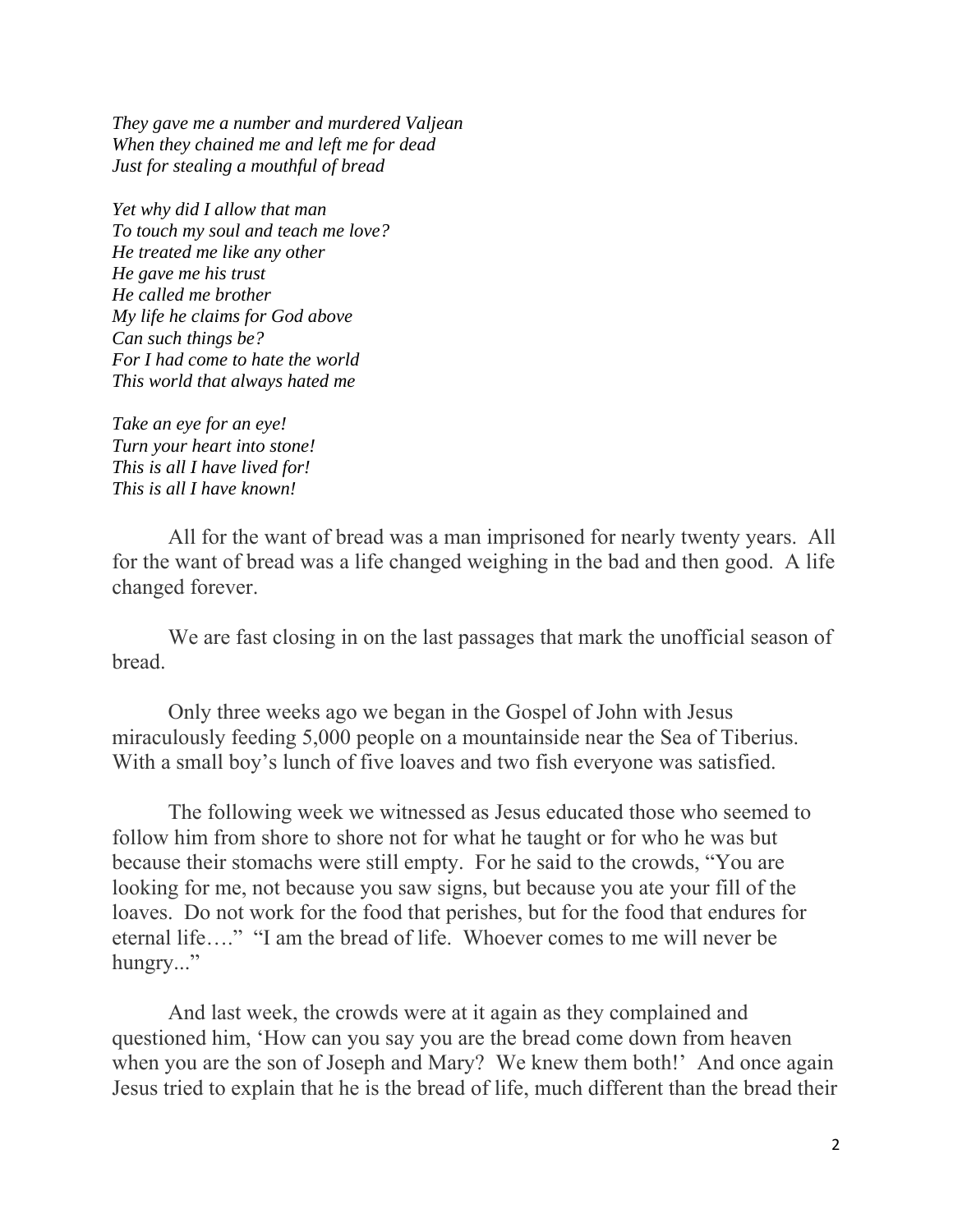*They gave me a number and murdered Valjean When they chained me and left me for dead Just for stealing a mouthful of bread* 

*Yet why did I allow that man To touch my soul and teach me love? He treated me like any other He gave me his trust He called me brother My life he claims for God above Can such things be? For I had come to hate the world This world that always hated me* 

*Take an eye for an eye! Turn your heart into stone! This is all I have lived for! This is all I have known!* 

 All for the want of bread was a man imprisoned for nearly twenty years. All for the want of bread was a life changed weighing in the bad and then good. A life changed forever.

We are fast closing in on the last passages that mark the unofficial season of bread.

 Only three weeks ago we began in the Gospel of John with Jesus miraculously feeding 5,000 people on a mountainside near the Sea of Tiberius. With a small boy's lunch of five loaves and two fish everyone was satisfied.

 The following week we witnessed as Jesus educated those who seemed to follow him from shore to shore not for what he taught or for who he was but because their stomachs were still empty. For he said to the crowds, "You are looking for me, not because you saw signs, but because you ate your fill of the loaves. Do not work for the food that perishes, but for the food that endures for eternal life…." "I am the bread of life. Whoever comes to me will never be hungry..."

 And last week, the crowds were at it again as they complained and questioned him, 'How can you say you are the bread come down from heaven when you are the son of Joseph and Mary? We knew them both!' And once again Jesus tried to explain that he is the bread of life, much different than the bread their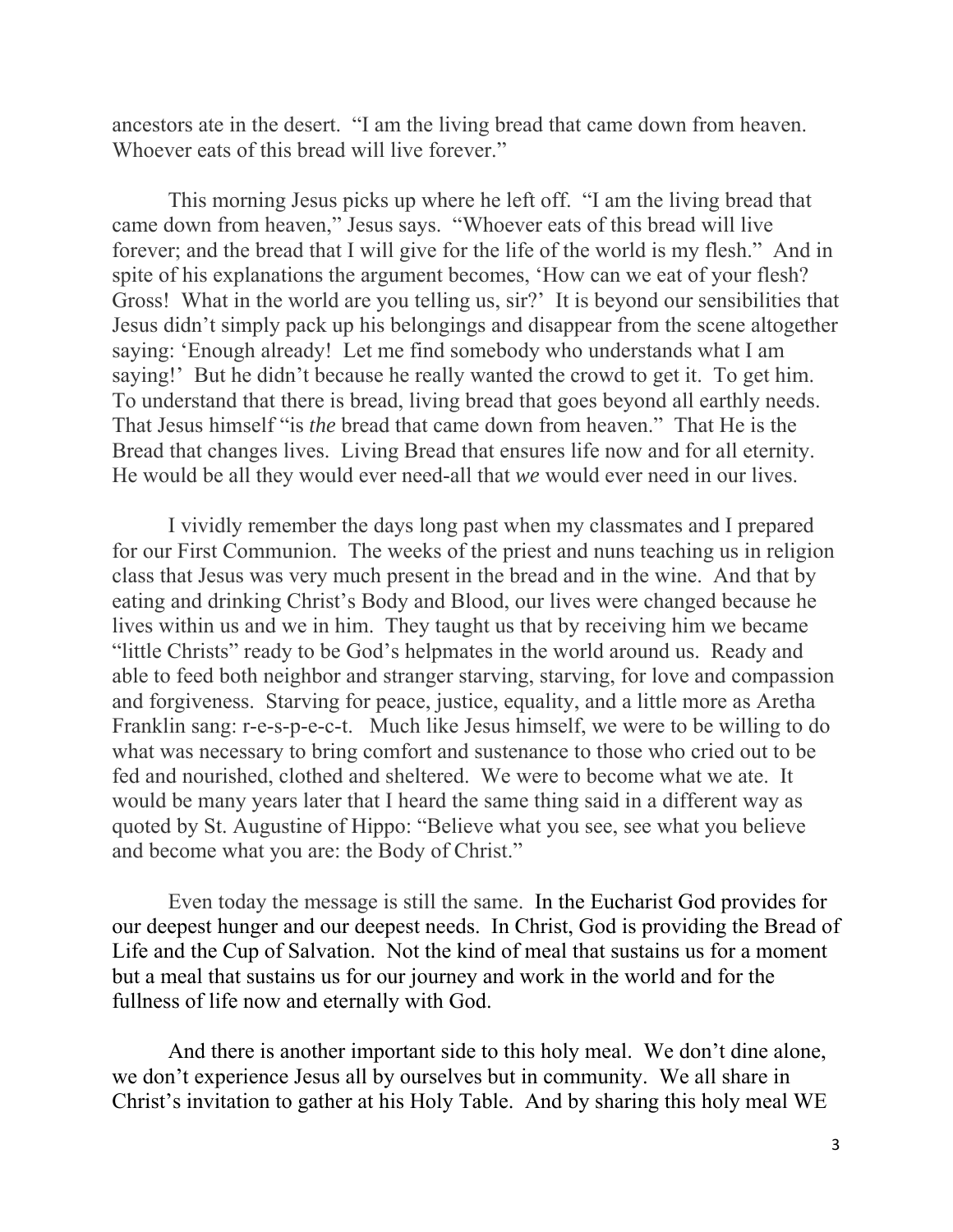ancestors ate in the desert. "I am the living bread that came down from heaven. Whoever eats of this bread will live forever."

 This morning Jesus picks up where he left off. "I am the living bread that came down from heaven," Jesus says. "Whoever eats of this bread will live forever; and the bread that I will give for the life of the world is my flesh." And in spite of his explanations the argument becomes, 'How can we eat of your flesh? Gross! What in the world are you telling us, sir?' It is beyond our sensibilities that Jesus didn't simply pack up his belongings and disappear from the scene altogether saying: 'Enough already! Let me find somebody who understands what I am saying!' But he didn't because he really wanted the crowd to get it. To get him. To understand that there is bread, living bread that goes beyond all earthly needs. That Jesus himself "is *the* bread that came down from heaven." That He is the Bread that changes lives. Living Bread that ensures life now and for all eternity. He would be all they would ever need-all that *we* would ever need in our lives.

 I vividly remember the days long past when my classmates and I prepared for our First Communion. The weeks of the priest and nuns teaching us in religion class that Jesus was very much present in the bread and in the wine. And that by eating and drinking Christ's Body and Blood, our lives were changed because he lives within us and we in him. They taught us that by receiving him we became "little Christs" ready to be God's helpmates in the world around us. Ready and able to feed both neighbor and stranger starving, starving, for love and compassion and forgiveness. Starving for peace, justice, equality, and a little more as Aretha Franklin sang: r-e-s-p-e-c-t. Much like Jesus himself, we were to be willing to do what was necessary to bring comfort and sustenance to those who cried out to be fed and nourished, clothed and sheltered. We were to become what we ate. It would be many years later that I heard the same thing said in a different way as quoted by St. Augustine of Hippo: "Believe what you see, see what you believe and become what you are: the Body of Christ."

 Even today the message is still the same. In the Eucharist God provides for our deepest hunger and our deepest needs. In Christ, God is providing the Bread of Life and the Cup of Salvation. Not the kind of meal that sustains us for a moment but a meal that sustains us for our journey and work in the world and for the fullness of life now and eternally with God.

 And there is another important side to this holy meal. We don't dine alone, we don't experience Jesus all by ourselves but in community. We all share in Christ's invitation to gather at his Holy Table. And by sharing this holy meal WE